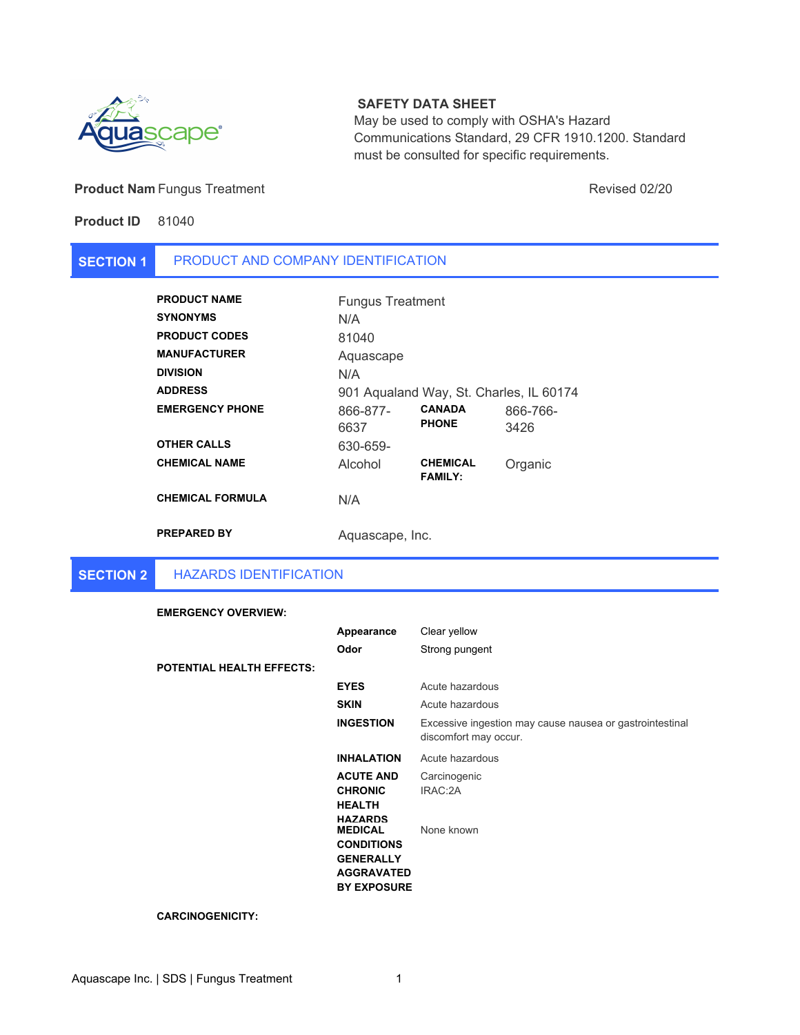

# **SAFETY DATA SHEET**

May be used to comply with OSHA's Hazard Communications Standard, 29 CFR 1910.1200. Standard must be consulted for specific requirements.

## **Product Nam** Fungus Treatment **All and Structure Control Control Control Control Control Revised 02/20**

# **Product ID** 81040

#### **SECTION 1** PRODUCT AND COMPANY IDENTIFICATION

| <b>PRODUCT NAME</b>     | <b>Fungus Treatment</b> |                                         |          |
|-------------------------|-------------------------|-----------------------------------------|----------|
| <b>SYNONYMS</b>         | N/A                     |                                         |          |
| <b>PRODUCT CODES</b>    | 81040                   |                                         |          |
| <b>MANUFACTURER</b>     | Aquascape               |                                         |          |
| DIVISION                | N/A                     |                                         |          |
| <b>ADDRESS</b>          |                         | 901 Aqualand Way, St. Charles, IL 60174 |          |
| <b>EMERGENCY PHONE</b>  | 866-877-                | <b>CANADA</b>                           | 866-766- |
|                         | 6637                    | <b>PHONE</b>                            | 3426     |
| <b>OTHER CALLS</b>      | 630-659-                |                                         |          |
| <b>CHEMICAL NAME</b>    | Alcohol                 | <b>CHEMICAL</b><br><b>FAMILY:</b>       | Organic  |
| <b>CHEMICAL FORMULA</b> | N/A                     |                                         |          |
| <b>PREPARED BY</b>      | Aquascape, Inc.         |                                         |          |

#### **SECTION 2** HAZARDS IDENTIFICATION

### **EMERGENCY OVERVIEW:**

| <b>POTENTIAL HEALTH EFFECTS:</b> | Appearance<br>Odor                                                                                                                                                                               | Clear yellow<br>Strong pungent                                                                                          |
|----------------------------------|--------------------------------------------------------------------------------------------------------------------------------------------------------------------------------------------------|-------------------------------------------------------------------------------------------------------------------------|
|                                  | <b>EYES</b><br><b>SKIN</b><br><b>INGESTION</b>                                                                                                                                                   | Acute hazardous<br>Acute hazardous<br>Excessive ingestion may cause nausea or gastrointestinal<br>discomfort may occur. |
|                                  | <b>INHALATION</b><br><b>ACUTE AND</b><br><b>CHRONIC</b><br><b>HEALTH</b><br><b>HAZARDS</b><br><b>MEDICAL</b><br><b>CONDITIONS</b><br><b>GENERALLY</b><br><b>AGGRAVATED</b><br><b>BY EXPOSURE</b> | Acute hazardous<br>Carcinogenic<br>IRAC:2A<br>None known                                                                |

### **CARCINOGENICITY:**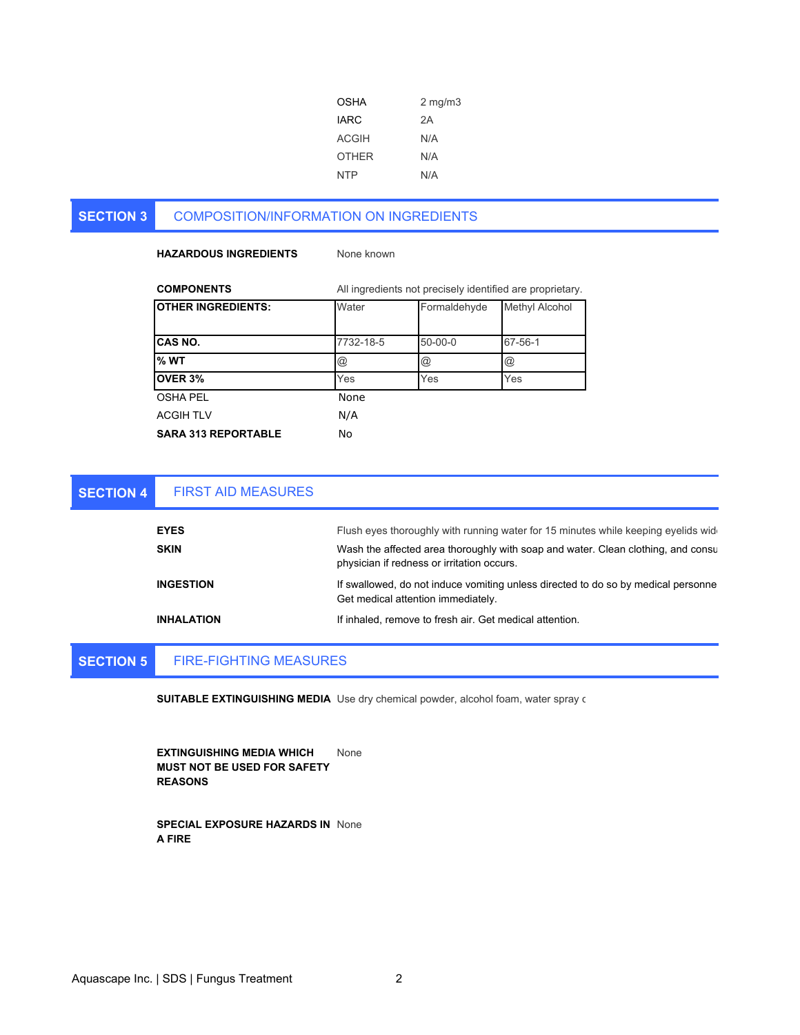| OSHA         | $2 \text{ mg/m}$ |
|--------------|------------------|
| <b>IARC</b>  | 2A               |
| <b>ACGIH</b> | N/A              |
| <b>OTHER</b> | N/A              |
| <b>NTP</b>   | N/A              |

#### **SECTION 3** COMPOSITION/INFORMATION ON INGREDIENTS

## **HAZARDOUS INGREDIENTS** None known

| <b>COMPONENTS</b>          |                      | All ingredients not precisely identified are proprietary. |                      |
|----------------------------|----------------------|-----------------------------------------------------------|----------------------|
| <b>OTHER INGREDIENTS:</b>  | Water                | Formaldehyde                                              | Methyl Alcohol       |
| ICAS NO.                   | 7732-18-5            | $50 - 00 - 0$                                             | 67-56-1              |
| % WT                       | $^{\textregistered}$ | $^{\textregistered}$                                      | $^{\textregistered}$ |
| OVER 3%                    | Yes                  | Yes                                                       | Yes                  |
| <b>OSHA PEL</b>            | None                 |                                                           |                      |
| <b>ACGIH TLV</b>           | N/A                  |                                                           |                      |
| <b>SARA 313 REPORTABLE</b> | No                   |                                                           |                      |

| <b>SECTION 4</b> | <b>FIRST AID MEASURES</b> |                                                                                                                                 |
|------------------|---------------------------|---------------------------------------------------------------------------------------------------------------------------------|
|                  | <b>EYES</b>               | Flush eyes thoroughly with running water for 15 minutes while keeping eyelids wider                                             |
|                  | <b>SKIN</b>               | Wash the affected area thoroughly with soap and water. Clean clothing, and consul<br>physician if redness or irritation occurs. |
|                  | <b>INGESTION</b>          | If swallowed, do not induce vomiting unless directed to do so by medical personne<br>Get medical attention immediately.         |
|                  | <b>INHALATION</b>         | If inhaled, remove to fresh air. Get medical attention.                                                                         |

#### **SECTION 5** FIRE-FIGHTING MEASURES

**SUITABLE EXTINGUISHING MEDIA** Use dry chemical powder, alcohol foam, water spray o

**EXTINGUISHING MEDIA WHICH MUST NOT BE USED FOR SAFETY REASONS** None

**SPECIAL EXPOSURE HAZARDS IN**  None **A FIRE**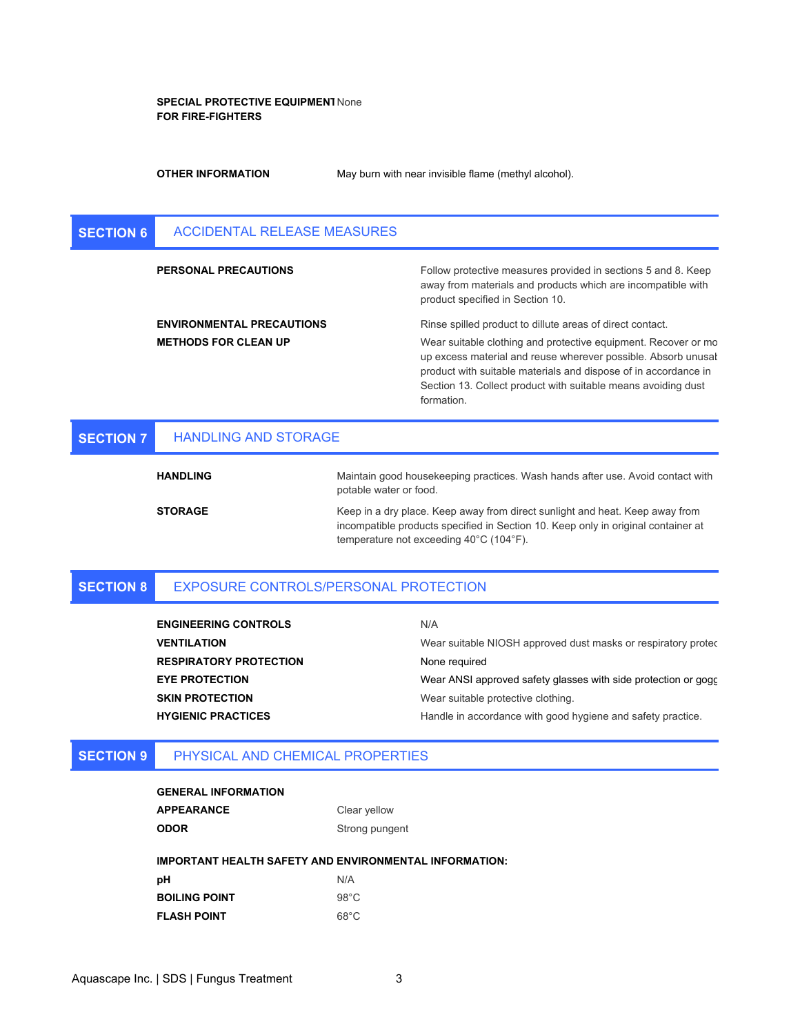### **SPECIAL PROTECTIVE EQUIPMENT**  None **FOR FIRE-FIGHTERS**

**OTHER INFORMATION**

May burn with near invisible flame (methyl alcohol).

| <b>SECTION 6</b> | ACCIDENTAL RELEASE MEASURES      |                                                                                                                                                                                                                                                                                   |
|------------------|----------------------------------|-----------------------------------------------------------------------------------------------------------------------------------------------------------------------------------------------------------------------------------------------------------------------------------|
|                  | <b>PERSONAL PRECAUTIONS</b>      | Follow protective measures provided in sections 5 and 8. Keep<br>away from materials and products which are incompatible with<br>product specified in Section 10.                                                                                                                 |
|                  | <b>ENVIRONMENTAL PRECAUTIONS</b> | Rinse spilled product to dillute areas of direct contact.                                                                                                                                                                                                                         |
|                  | <b>METHODS FOR CLEAN UP</b>      | Wear suitable clothing and protective equipment. Recover or mo<br>up excess material and reuse wherever possible. Absorb unusal<br>product with suitable materials and dispose of in accordance in<br>Section 13. Collect product with suitable means avoiding dust<br>formation. |
| <b>SECTION 7</b> | <b>HANDLING AND STORAGE</b>      |                                                                                                                                                                                                                                                                                   |

| <b>HANDLING</b> | Maintain good housekeeping practices. Wash hands after use. Avoid contact with<br>potable water or food.                                                                                                     |
|-----------------|--------------------------------------------------------------------------------------------------------------------------------------------------------------------------------------------------------------|
| <b>STORAGE</b>  | Keep in a dry place. Keep away from direct sunlight and heat. Keep away from<br>incompatible products specified in Section 10. Keep only in original container at<br>temperature not exceeding 40°C (104°F). |

#### **SECTION 8** EXPOSURE CONTROLS/PERSONAL PROTECTION

| <b>ENGINEERING CONTROLS</b>   | N/A                                                            |
|-------------------------------|----------------------------------------------------------------|
| <b>VENTILATION</b>            | Wear suitable NIOSH approved dust masks or respiratory protec  |
| <b>RESPIRATORY PROTECTION</b> | None required                                                  |
| <b>EYE PROTECTION</b>         | Wear ANSI approved safety glasses with side protection or gogo |
| <b>SKIN PROTECTION</b>        | Wear suitable protective clothing.                             |
| <b>HYGIENIC PRACTICES</b>     | Handle in accordance with good hygiene and safety practice.    |

#### **SECTION 9** PHYSICAL AND CHEMICAL PROPERTIES

| <b>GENERAL INFORMATION</b> |  |
|----------------------------|--|
| <b>APPEARANCE</b>          |  |
| <b>ODOR</b>                |  |

**IMPORTANT HEALTH SAFETY AND ENVIRONMENTAL INFORMATION:**

**Strong pungent** 

Clear yellow

| рH            | N/A            |
|---------------|----------------|
| BOILING POINT | $98^{\circ}$ C |
| FLASH POINT   | $68^{\circ}$ C |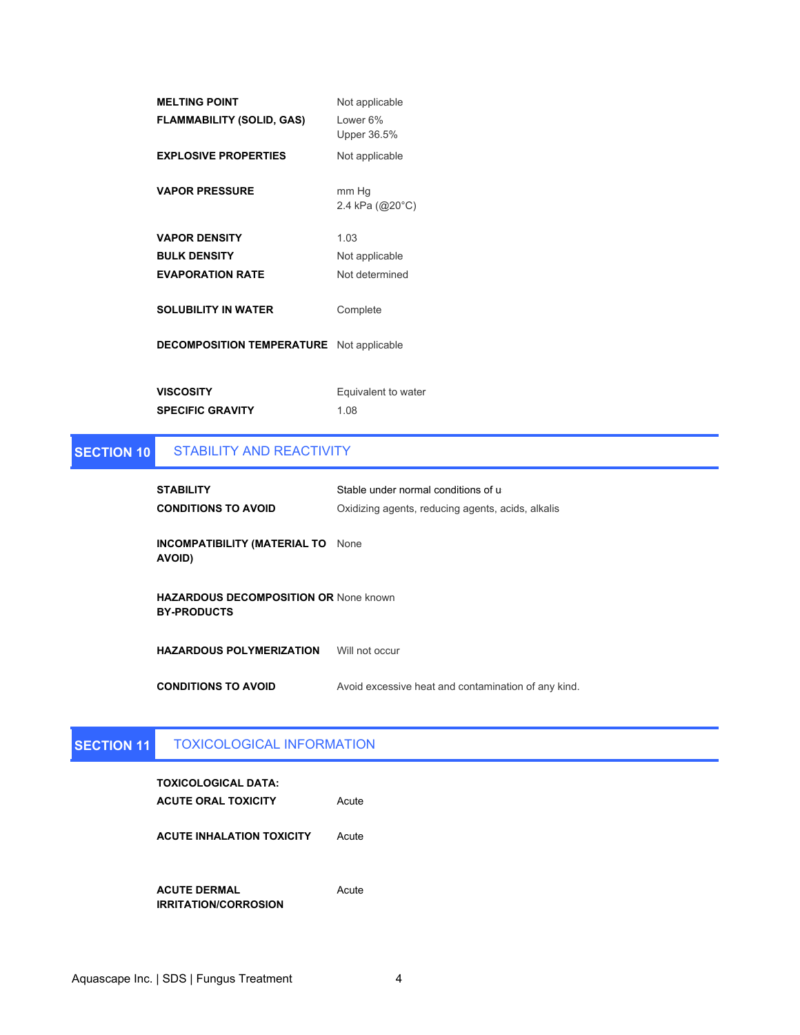| <b>MELTING POINT</b>             | Not applicable           |
|----------------------------------|--------------------------|
| <b>FLAMMABILITY (SOLID, GAS)</b> | I ower 6%<br>Upper 36.5% |
| <b>EXPLOSIVE PROPERTIES</b>      | Not applicable           |
| <b>VAPOR PRESSURE</b>            | mm Hg<br>2.4 kPa (@20°C) |
| <b>VAPOR DENSITY</b>             | 1.03                     |
| <b>BULK DENSITY</b>              | Not applicable           |
| <b>EVAPORATION RATE</b>          | Not determined           |
| <b>SOLUBILITY IN WATER</b>       | Complete                 |
| <b>DECOMPOSITION TEMPERATURE</b> | Not applicable           |
| <b>VISCOSITY</b>                 | Equivalent to water      |
| <b>SPECIFIC GRAVITY</b>          | 1.08                     |

### **SECTION 10** STABILITY AND REACTIVITY

| <b>STABILITY</b><br><b>CONDITIONS TO AVOID</b>                     | Stable under normal conditions of u<br>Oxidizing agents, reducing agents, acids, alkalis |
|--------------------------------------------------------------------|------------------------------------------------------------------------------------------|
| <b>INCOMPATIBILITY (MATERIAL TO</b> None<br><b>AVOID)</b>          |                                                                                          |
| <b>HAZARDOUS DECOMPOSITION OR None known</b><br><b>BY-PRODUCTS</b> |                                                                                          |
| <b>HAZARDOUS POLYMERIZATION</b>                                    | Will not occur                                                                           |
| <b>CONDITIONS TO AVOID</b>                                         | Avoid excessive heat and contamination of any kind.                                      |

### **SECTION 11** TOXICOLOGICAL INFORMATION

| TOXICOLOGICAL DATA:<br><b>ACUTE ORAL TOXICITY</b>  | Acute |
|----------------------------------------------------|-------|
| <b>ACUTE INHALATION TOXICITY</b>                   | Acute |
| <b>ACUTE DERMAL</b><br><b>IRRITATION/CORROSION</b> | Acute |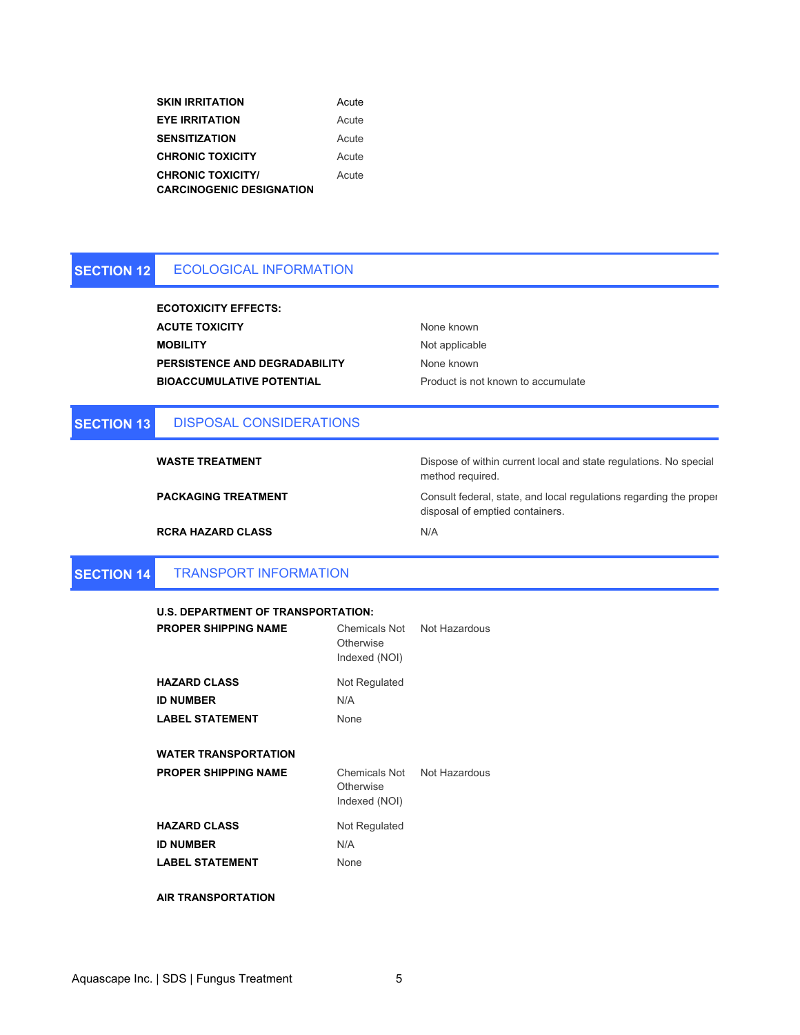| <b>SKIN IRRITATION</b>          | Acute |
|---------------------------------|-------|
| <b>EYE IRRITATION</b>           | Acute |
| <b>SENSITIZATION</b>            | Acute |
| <b>CHRONIC TOXICITY</b>         | Acute |
| <b>CHRONIC TOXICITY/</b>        | Acute |
| <b>CARCINOGENIC DESIGNATION</b> |       |

#### **SECTION 12** ECOLOGICAL INFORMATION

**ACUTE TOXICITY** None known **MOBILITY** Not applicable None known **ECOTOXICITY EFFECTS: PERSISTENCE AND DEGRADABILITY BIOACCUMULATIVE POTENTIAL** Product is not known to accumulate

#### **SECTION 13** DISPOSAL CONSIDERATIONS

**WASTE TREATMENT**

**PACKAGING TREATMENT**

Dispose of within current local and state regulations. No special method required.

Consult federal, state, and local regulations regarding the proper disposal of emptied containers.

N/A

#### **SECTION 14** TRANSPORT INFORMATION

**RCRA HAZARD CLASS**

| <b>U.S. DEPARTMENT OF TRANSPORTATION:</b> |             |
|-------------------------------------------|-------------|
| <b>DROBER CURRING NAME</b>                | $O1 = 0.01$ |

| <b>PROPER SHIPPING NAME</b>                                       | Chemicals Not Not Hazardous<br>Otherwise<br>Indexed (NOI) |  |
|-------------------------------------------------------------------|-----------------------------------------------------------|--|
| <b>HAZARD CLASS</b><br><b>ID NUMBER</b><br><b>LABEL STATEMENT</b> | Not Regulated<br>N/A<br>None                              |  |
| <b>WATER TRANSPORTATION</b><br><b>PROPER SHIPPING NAME</b>        | Chemicals Not Not Hazardous<br>Otherwise<br>Indexed (NOI) |  |
| <b>HAZARD CLASS</b><br><b>ID NUMBER</b><br><b>LABEL STATEMENT</b> | Not Regulated<br>N/A<br>None                              |  |

**AIR TRANSPORTATION**